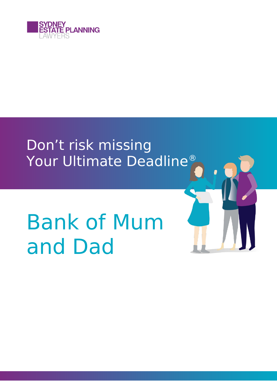

## Don't risk missing Your Ultimate Deadline®

# Bank of Mum and Dad

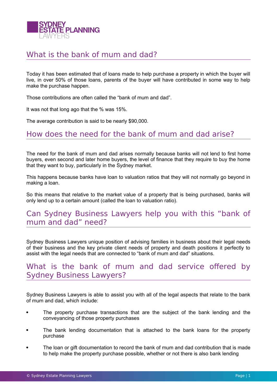

#### What is the bank of mum and dad?

Today it has been estimated that of loans made to help purchase a property in which the buyer will live, in over 50% of those loans, parents of the buyer will have contributed in some way to help make the purchase happen.

Those contributions are often called the "bank of mum and dad".

It was not that long ago that the % was 15%.

The average contribution is said to be nearly \$90,000.

#### How does the need for the bank of mum and dad arise?

The need for the bank of mum and dad arises normally because banks will not lend to first home buyers, even second and later home buyers, the level of finance that they require to buy the home that they want to buy, particularly in the Sydney market.

This happens because banks have loan to valuation ratios that they will not normally go beyond in making a loan.

So this means that relative to the market value of a property that is being purchased, banks will only lend up to a certain amount (called the loan to valuation ratio).

#### Can Sydney Business Lawyers help you with this "bank of mum and dad" need?

Sydney Business Lawyers unique position of advising families in business about their legal needs of their business and the key private client needs of property and death positions it perfectly to assist with the legal needs that are connected to "bank of mum and dad" situations.

#### What is the bank of mum and dad service offered by Sydney Business Lawyers?

Sydney Business Lawyers is able to assist you with all of the legal aspects that relate to the bank of mum and dad, which include:

- The property purchase transactions that are the subject of the bank lending and the conveyancing of those property purchases
- The bank lending documentation that is attached to the bank loans for the property purchase
- The loan or gift documentation to record the bank of mum and dad contribution that is made to help make the property purchase possible, whether or not there is also bank lending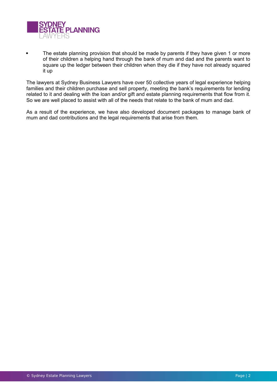

 The estate planning provision that should be made by parents if they have given 1 or more of their children a helping hand through the bank of mum and dad and the parents want to square up the ledger between their children when they die if they have not already squared it up

The lawyers at Sydney Business Lawyers have over 50 collective years of legal experience helping families and their children purchase and sell property, meeting the bank's requirements for lending related to it and dealing with the loan and/or gift and estate planning requirements that flow from it. So we are well placed to assist with all of the needs that relate to the bank of mum and dad.

As a result of the experience, we have also developed document packages to manage bank of mum and dad contributions and the legal requirements that arise from them.